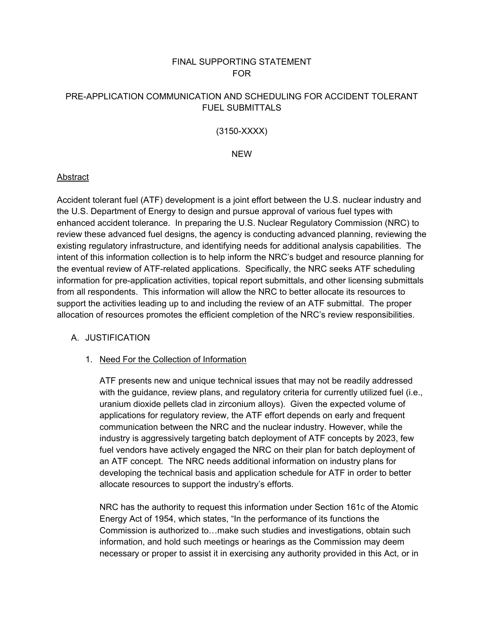# FINAL SUPPORTING STATEMENT FOR

## PRE-APPLICATION COMMUNICATION AND SCHEDULING FOR ACCIDENT TOLERANT FUEL SUBMITTALS

## (3150-XXXX)

#### NEW

## Abstract

Accident tolerant fuel (ATF) development is a joint effort between the U.S. nuclear industry and the U.S. Department of Energy to design and pursue approval of various fuel types with enhanced accident tolerance. In preparing the U.S. Nuclear Regulatory Commission (NRC) to review these advanced fuel designs, the agency is conducting advanced planning, reviewing the existing regulatory infrastructure, and identifying needs for additional analysis capabilities. The intent of this information collection is to help inform the NRC's budget and resource planning for the eventual review of ATF-related applications. Specifically, the NRC seeks ATF scheduling information for pre-application activities, topical report submittals, and other licensing submittals from all respondents. This information will allow the NRC to better allocate its resources to support the activities leading up to and including the review of an ATF submittal. The proper allocation of resources promotes the efficient completion of the NRC's review responsibilities.

## A. JUSTIFICATION

## 1. Need For the Collection of Information

ATF presents new and unique technical issues that may not be readily addressed with the guidance, review plans, and regulatory criteria for currently utilized fuel (i.e., uranium dioxide pellets clad in zirconium alloys). Given the expected volume of applications for regulatory review, the ATF effort depends on early and frequent communication between the NRC and the nuclear industry. However, while the industry is aggressively targeting batch deployment of ATF concepts by 2023, few fuel vendors have actively engaged the NRC on their plan for batch deployment of an ATF concept. The NRC needs additional information on industry plans for developing the technical basis and application schedule for ATF in order to better allocate resources to support the industry's efforts.

NRC has the authority to request this information under Section 161c of the Atomic Energy Act of 1954, which states, "In the performance of its functions the Commission is authorized to…make such studies and investigations, obtain such information, and hold such meetings or hearings as the Commission may deem necessary or proper to assist it in exercising any authority provided in this Act, or in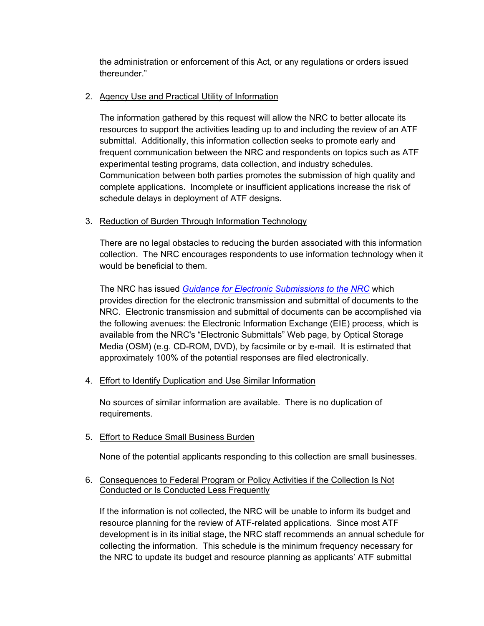the administration or enforcement of this Act, or any regulations or orders issued thereunder."

## 2. Agency Use and Practical Utility of Information

The information gathered by this request will allow the NRC to better allocate its resources to support the activities leading up to and including the review of an ATF submittal. Additionally, this information collection seeks to promote early and frequent communication between the NRC and respondents on topics such as ATF experimental testing programs, data collection, and industry schedules. Communication between both parties promotes the submission of high quality and complete applications. Incomplete or insufficient applications increase the risk of schedule delays in deployment of ATF designs.

## 3. Reduction of Burden Through Information Technology

There are no legal obstacles to reducing the burden associated with this information collection. The NRC encourages respondents to use information technology when it would be beneficial to them.

The NRC has issued *Guidance for Electronic Submissions to the NRC* which provides direction for the electronic transmission and submittal of documents to the NRC. Electronic transmission and submittal of documents can be accomplished via the following avenues: the Electronic Information Exchange (EIE) process, which is available from the NRC's "Electronic Submittals" Web page, by Optical Storage Media (OSM) (e.g. CD-ROM, DVD), by facsimile or by e-mail. It is estimated that approximately 100% of the potential responses are filed electronically.

4. Effort to Identify Duplication and Use Similar Information

No sources of similar information are available. There is no duplication of requirements.

5. Effort to Reduce Small Business Burden

None of the potential applicants responding to this collection are small businesses.

## 6. Consequences to Federal Program or Policy Activities if the Collection Is Not Conducted or Is Conducted Less Frequently

If the information is not collected, the NRC will be unable to inform its budget and resource planning for the review of ATF-related applications. Since most ATF development is in its initial stage, the NRC staff recommends an annual schedule for collecting the information. This schedule is the minimum frequency necessary for the NRC to update its budget and resource planning as applicants' ATF submittal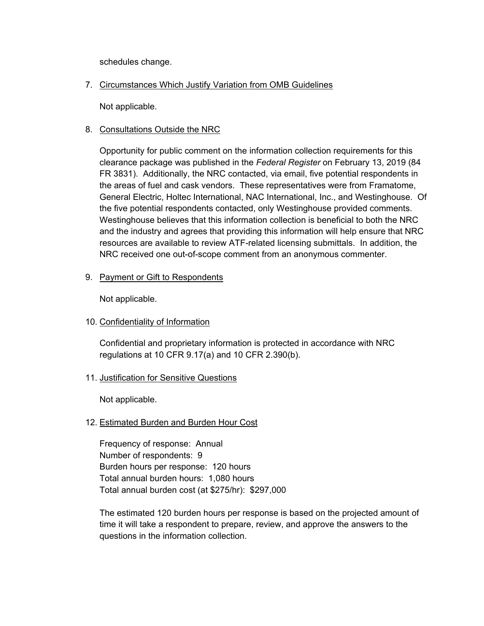schedules change.

## 7. Circumstances Which Justify Variation from OMB Guidelines

Not applicable.

## 8. Consultations Outside the NRC

Opportunity for public comment on the information collection requirements for this clearance package was published in the *Federal Register* on February 13, 2019 (84 FR 3831). Additionally, the NRC contacted, via email, five potential respondents in the areas of fuel and cask vendors. These representatives were from Framatome, General Electric, Holtec International, NAC International, Inc., and Westinghouse. Of the five potential respondents contacted, only Westinghouse provided comments. Westinghouse believes that this information collection is beneficial to both the NRC and the industry and agrees that providing this information will help ensure that NRC resources are available to review ATF-related licensing submittals. In addition, the NRC received one out-of-scope comment from an anonymous commenter.

## 9. Payment or Gift to Respondents

Not applicable.

## 10. Confidentiality of Information

Confidential and proprietary information is protected in accordance with NRC regulations at 10 CFR 9.17(a) and 10 CFR 2.390(b).

## 11. Justification for Sensitive Questions

Not applicable.

## 12. Estimated Burden and Burden Hour Cost

Frequency of response: Annual Number of respondents: 9 Burden hours per response: 120 hours Total annual burden hours: 1,080 hours Total annual burden cost (at \$275/hr): \$297,000

The estimated 120 burden hours per response is based on the projected amount of time it will take a respondent to prepare, review, and approve the answers to the questions in the information collection.